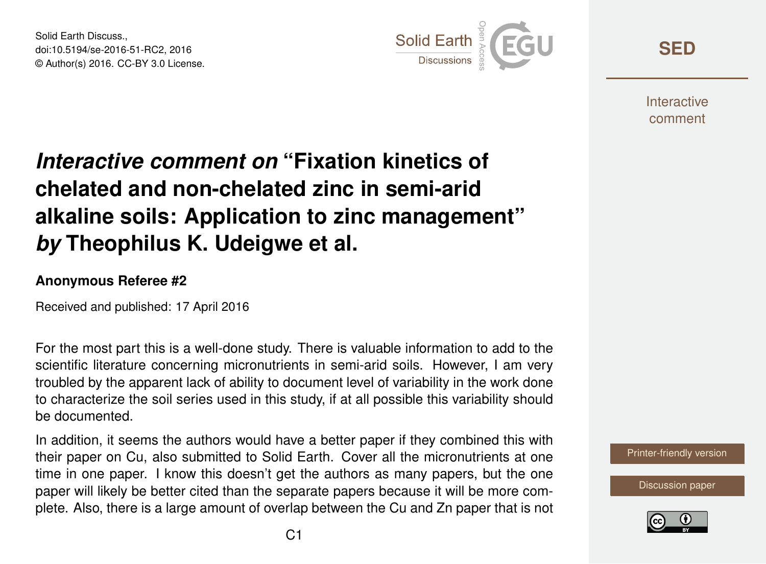Solid Earth Discuss., doi:10.5194/se-2016-51-RC2, 2016 © Author(s) 2016. CC-BY 3.0 License.



**[SED](http://www.solid-earth-discuss.net/)**

**Interactive** comment

## *Interactive comment on* **"Fixation kinetics of chelated and non-chelated zinc in semi-arid alkaline soils: Application to zinc management"** *by* **Theophilus K. Udeigwe et al.**

## **Anonymous Referee #2**

Received and published: 17 April 2016

For the most part this is a well-done study. There is valuable information to add to the scientific literature concerning micronutrients in semi-arid soils. However, I am very troubled by the apparent lack of ability to document level of variability in the work done to characterize the soil series used in this study, if at all possible this variability should be documented.

In addition, it seems the authors would have a better paper if they combined this with their paper on Cu, also submitted to Solid Earth. Cover all the micronutrients at one time in one paper. I know this doesn't get the authors as many papers, but the one paper will likely be better cited than the separate papers because it will be more complete. Also, there is a large amount of overlap between the Cu and Zn paper that is not



[Discussion paper](http://www.solid-earth-discuss.net/se-2016-51)

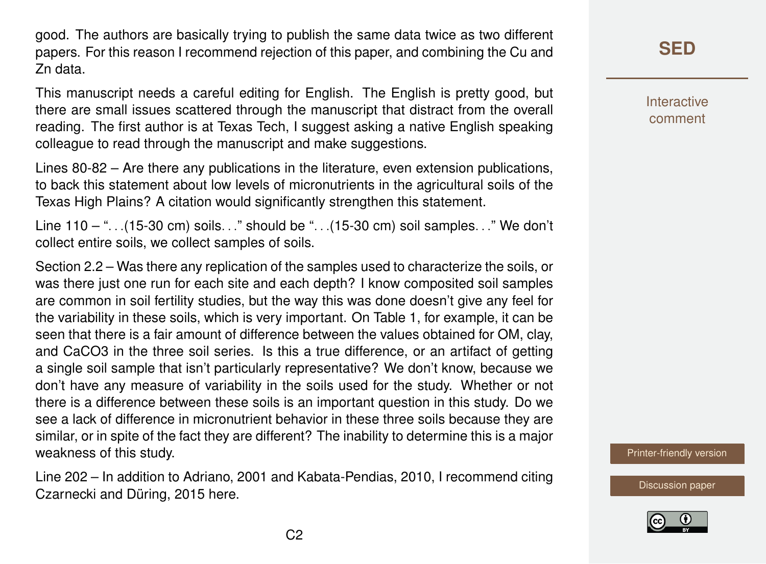good. The authors are basically trying to publish the same data twice as two different papers. For this reason I recommend rejection of this paper, and combining the Cu and Zn data.

This manuscript needs a careful editing for English. The English is pretty good, but there are small issues scattered through the manuscript that distract from the overall reading. The first author is at Texas Tech, I suggest asking a native English speaking colleague to read through the manuscript and make suggestions.

Lines 80-82 – Are there any publications in the literature, even extension publications, to back this statement about low levels of micronutrients in the agricultural soils of the Texas High Plains? A citation would significantly strengthen this statement.

Line 110 – ". . .(15-30 cm) soils. . ." should be ". . .(15-30 cm) soil samples. . ." We don't collect entire soils, we collect samples of soils.

Section 2.2 – Was there any replication of the samples used to characterize the soils, or was there just one run for each site and each depth? I know composited soil samples are common in soil fertility studies, but the way this was done doesn't give any feel for the variability in these soils, which is very important. On Table 1, for example, it can be seen that there is a fair amount of difference between the values obtained for OM, clay, and CaCO3 in the three soil series. Is this a true difference, or an artifact of getting a single soil sample that isn't particularly representative? We don't know, because we don't have any measure of variability in the soils used for the study. Whether or not there is a difference between these soils is an important question in this study. Do we see a lack of difference in micronutrient behavior in these three soils because they are similar, or in spite of the fact they are different? The inability to determine this is a major weakness of this study.

Line 202 – In addition to Adriano, 2001 and Kabata-Pendias, 2010, I recommend citing Czarnecki and Düring, 2015 here.

**[SED](http://www.solid-earth-discuss.net/)**

**Interactive** comment

[Printer-friendly version](http://www.solid-earth-discuss.net/se-2016-51/se-2016-51-RC2-print.pdf)

[Discussion paper](http://www.solid-earth-discuss.net/se-2016-51)